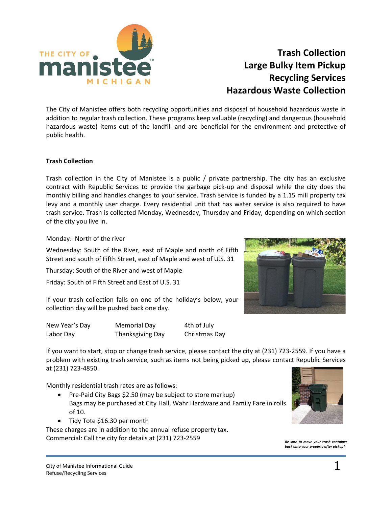

# **Trash Collection Large Bulky Item Pickup Recycling Services Hazardous Waste Collection**

The City of Manistee offers both recycling opportunities and disposal of household hazardous waste in addition to regular trash collection. These programs keep valuable (recycling) and dangerous (household hazardous waste) items out of the landfill and are beneficial for the environment and protective of public health.

## **Trash Collection**

Trash collection in the City of Manistee is a public / private partnership. The city has an exclusive contract with Republic Services to provide the garbage pick-up and disposal while the city does the monthly billing and handles changes to your service. Trash service is funded by a 1.15 mill property tax levy and a monthly user charge. Every residential unit that has water service is also required to have trash service. Trash is collected Monday, Wednesday, Thursday and Friday, depending on which section of the city you live in.

Monday: North of the river

Wednesday: South of the River, east of Maple and north of Fifth Street and south of Fifth Street, east of Maple and west of U.S. 31

Thursday: South of the River and west of Maple

Friday: South of Fifth Street and East of U.S. 31

If your trash collection falls on one of the holiday's below, your collection day will be pushed back one day.

| New Year's Day | <b>Memorial Day</b> | 4th of July   |
|----------------|---------------------|---------------|
| Labor Day      | Thanksgiving Day    | Christmas Day |

If you want to start, stop or change trash service, please contact the city at (231) 723-2559. If you have a problem with existing trash service, such as items not being picked up, please contact Republic Services at (231) 723-4850.

Monthly residential trash rates are as follows:

- Pre-Paid City Bags \$2.50 (may be subject to store markup) Bags may be purchased at City Hall, Wahr Hardware and Family Fare in rolls of 10.
- Tidy Tote \$16.30 per month

These charges are in addition to the annual refuse property tax. Commercial: Call the city for details at (231) 723-2559 *Be sure to move your trash container*



*back onto your property after pickup!*

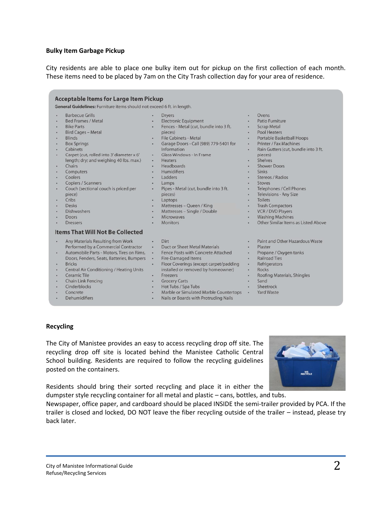#### **Bulky Item Garbage Pickup**

City residents are able to place one bulky item out for pickup on the first collection of each month. These items need to be placed by 7am on the City Trash collection day for your area of residence.

| <b>Barbecue Grills</b>                    |           | <b>Dryers</b>                          | ٠         | Ovens                                |
|-------------------------------------------|-----------|----------------------------------------|-----------|--------------------------------------|
| <b>Bed Frames / Metal</b>                 |           | <b>Electronic Equipment</b>            | ٠         | Patio Furniture                      |
| <b>Bike Parts</b>                         |           | Fences - Metal (cut, bundle into 3 ft. | $\bullet$ | <b>Scrap Metal</b>                   |
| <b>Bird Cages - Metal</b>                 |           | pieces)                                | ٠         | <b>Pool Heaters</b>                  |
| <b>Blinds</b>                             |           | <b>File Cabinets - Metal</b>           | $\bullet$ | <b>Portable Basketball Hoops</b>     |
| <b>Box Springs</b>                        |           | Garage Doors - Call (989) 779-5401 for | $\bullet$ | <b>Printer / Fax Machines</b>        |
| Cabinets                                  |           | Information                            | $\bullet$ | Rain Gutters (cut, bundle into 3 ft. |
| Carpet (cut, rolled into 3' diameter x 6' | $\bullet$ | Glass Windows - In Frame               |           | pieces)                              |
| length; dry; and weighing 40 lbs. max.)   | $\bullet$ | <b>Heaters</b>                         | ٠         | Shelves                              |
| Chairs                                    | $\bullet$ | Headboards                             | $\bullet$ | <b>Shower Doors</b>                  |
| Computers                                 | $\bullet$ | Humidifiers                            | $\bullet$ | <b>Sinks</b>                         |
| Coolers                                   | ٠         | Ladders                                | ٠         | Stereos / Radios                     |
| Copiers / Scanners                        | ٠         | Lamps                                  | ٠         | <b>Stoves</b>                        |
| Couch (sectional couch is priced per      | ٠         | Pipes - Metal (cut, bundle into 3 ft.  | ٠         | Telephones / Cell Phones             |
| piece)                                    |           | pieces)                                | ۰         | <b>Televisions - Any Size</b>        |
| Cribs                                     | ٠         | Laptops                                | ٠         | <b>Toilets</b>                       |
| Desks                                     | ۰         | Mattresses - Queen / King              | ٠         | <b>Trash Compactors</b>              |
| Dishwashers                               | $\bullet$ | Mattresses - Single / Double           | $\bullet$ | <b>VCR / DVD Players</b>             |
| Doors                                     | ٠         | <b>Microwaves</b>                      | $\bullet$ | <b>Washing Machines</b>              |
| <b>Dressers</b>                           |           | <b>Monitors</b>                        |           | Other Similar Items as Listed Above  |
| <b>Items That Will Not Be Collected</b>   |           |                                        |           |                                      |
| Any Materials Resulting from Work         | ٠         | Dirt                                   | ٠         | Paint and Other Hazardous Waste      |
| Performed by a Commercial Contractor      | $\bullet$ | <b>Duct or Sheet Metal Materials</b>   | ٠         | Plaster                              |
| Automobile Parts - Motors, Tires on Rims, | $\bullet$ | Fence Posts with Concrete Attached     | $\bullet$ | Propane / Oxygen tanks               |
| Doors, Fenders, Seats, Batteries, Bumpers | $\bullet$ | <b>Fire-Damaged Items</b>              | ٠         | <b>Railroad Ties</b>                 |
| <b>Bricks</b>                             | $\bullet$ | Floor Coverings (except carpet/padding | $\bullet$ | Refrigerators                        |
| Central Air Conditioning / Heating Units  |           | installed or removed by homeowner)     | $\bullet$ | Rocks                                |
| Ceramic Tile                              | $\bullet$ | Freezers                               | $\bullet$ | Roofing Materials, Shingles          |
| Chain Link Fencing                        | $\bullet$ | <b>Grocery Carts</b>                   | ٠         | Sand                                 |
| Cinderblocks                              | $\bullet$ | Hot Tubs / Spa Tubs                    | ٠         | Sheetrock                            |
| Concrete                                  | $\bullet$ | Marble or Simulated Marble Countertops | $\bullet$ | <b>Yard Waste</b>                    |
| Dehumidifiers                             | $\bullet$ | Nails or Boards with Protruding Nails  |           |                                      |

#### **Recycling**

The City of Manistee provides an easy to access recycling drop off site. The recycling drop off site is located behind the Manistee Catholic Central School building. Residents are required to follow the recycling guidelines posted on the containers.



Residents should bring their sorted recycling and place it in either the dumpster style recycling container for all metal and plastic – cans, bottles, and tubs.

Newspaper, office paper, and cardboard should be placed INSIDE the semi-trailer provided by PCA. If the trailer is closed and locked, DO NOT leave the fiber recycling outside of the trailer – instead, please try back later.